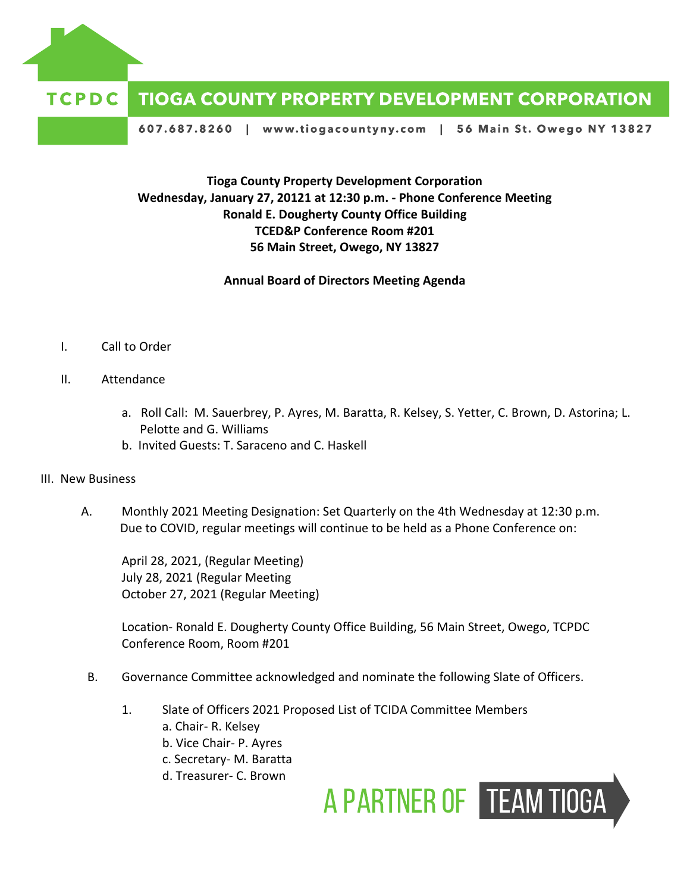

## **TCPDC TIOGA COUNTY PROPERTY DEVELOPMENT CORPORATION**

607.687.8260 | www.tiogacountyny.com | 56 Main St. Owego NY 13827

## **Tioga County Property Development Corporation Wednesday, January 27, 20121 at 12:30 p.m. - Phone Conference Meeting Ronald E. Dougherty County Office Building TCED&P Conference Room #201 56 Main Street, Owego, NY 13827**

**Annual Board of Directors Meeting Agenda**

- I. Call to Order
- II. Attendance
	- a. Roll Call: M. Sauerbrey, P. Ayres, M. Baratta, R. Kelsey, S. Yetter, C. Brown, D. Astorina; L. Pelotte and G. Williams
	- b. Invited Guests: T. Saraceno and C. Haskell
- III. New Business
	- A. Monthly 2021 Meeting Designation: Set Quarterly on the 4th Wednesday at 12:30 p.m. Due to COVID, regular meetings will continue to be held as a Phone Conference on:

April 28, 2021, (Regular Meeting) July 28, 2021 (Regular Meeting October 27, 2021 (Regular Meeting)

Location- Ronald E. Dougherty County Office Building, 56 Main Street, Owego, TCPDC Conference Room, Room #201

- B. Governance Committee acknowledged and nominate the following Slate of Officers.
	- 1. Slate of Officers 2021 Proposed List of TCIDA Committee Members
		- a. Chair- R. Kelsey
		- b. Vice Chair- P. Ayres
		- c. Secretary- M. Baratta
		- d. Treasurer- C. Brown